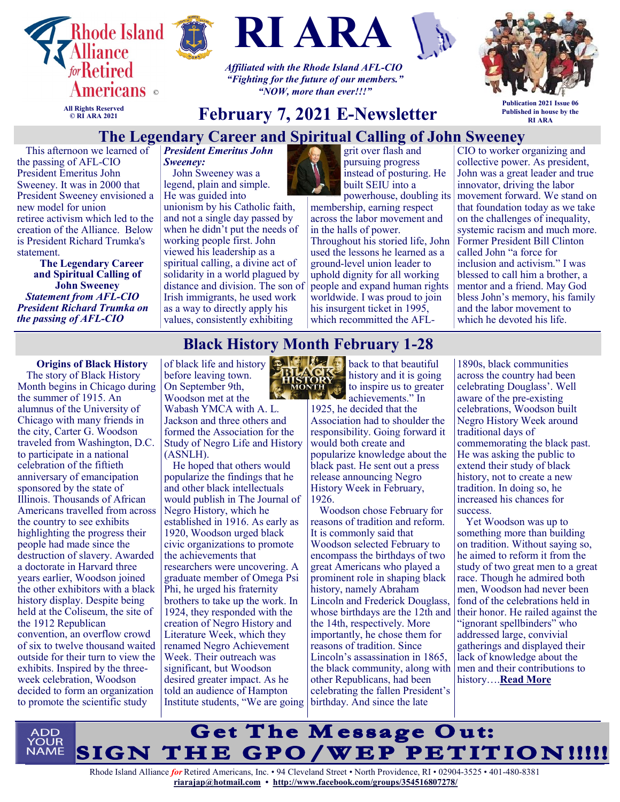



**RI ARA**

*Affiliated with the Rhode Island AFL-CIO "Fighting for the future of our members." "NOW, more than ever!!!"*



**All Rights Reserved © RI ARA 2021**

# **February 7, 2021 E-Newsletter**

**Publication 2021 Issue 06 Published in house by the RI ARA**

#### **The Legendary Career and Spiritual Calling of John Sweeney**

This afternoon we learned of the passing of AFL-CIO President Emeritus John Sweeney. It was in 2000 that President Sweeney envisioned a new model for union retiree activism which led to the creation of the Alliance. Below

is President Richard Trumka's statement. **The Legendary Career and Spiritual Calling of**

**John Sweeney** *Statement from AFL-CIO President Richard Trumka on the passing of AFL-CIO* 

*President Emeritus John Sweeney:*

John Sweeney was a legend, plain and simple. He was guided into unionism by his Catholic faith, and not a single day passed by when he didn't put the needs of working people first. John viewed his leadership as a spiritual calling, a divine act of solidarity in a world plagued by distance and division. The son of Irish immigrants, he used work as a way to directly apply his values, consistently exhibiting



grit over flash and pursuing progress instead of posturing. He built SEIU into a

powerhouse, doubling its membership, earning respect across the labor movement and in the halls of power. Throughout his storied life, John used the lessons he learned as a ground-level union leader to uphold dignity for all working people and expand human rights worldwide. I was proud to join his insurgent ticket in 1995, which recommitted the AFL-

CIO to worker organizing and collective power. As president, John was a great leader and true innovator, driving the labor movement forward. We stand on that foundation today as we take on the challenges of inequality, systemic racism and much more. Former President Bill Clinton called John "a force for inclusion and activism." I was blessed to call him a brother, a mentor and a friend. May God bless John's memory, his family and the labor movement to which he devoted his life.

## **Black History Month February 1-28**

**Origins of Black History** The story of Black History Month begins in Chicago during the summer of 1915. An alumnus of the University of Chicago with many friends in the city, Carter G. Woodson traveled from Washington, D.C. to participate in a national celebration of the fiftieth anniversary of emancipation sponsored by the state of Illinois. Thousands of African Americans travelled from across the country to see exhibits highlighting the progress their people had made since the destruction of slavery. Awarded a doctorate in Harvard three years earlier, Woodson joined the other exhibitors with a black history display. Despite being held at the Coliseum, the site of the 1912 Republican convention, an overflow crowd of six to twelve thousand waited outside for their turn to view the exhibits. Inspired by the threeweek celebration, Woodson decided to form an organization to promote the scientific study

of black life and history before leaving town. On September 9th, Woodson met at the Wabash YMCA with A. L. Jackson and three others and formed the Association for the Study of Negro Life and History (ASNLH). He hoped that others would

popularize the findings that he and other black intellectuals would publish in The Journal of Negro History, which he established in 1916. As early as 1920, Woodson urged black civic organizations to promote the achievements that researchers were uncovering. A graduate member of Omega Psi Phi, he urged his fraternity brothers to take up the work. In 1924, they responded with the creation of Negro History and Literature Week, which they renamed Negro Achievement Week. Their outreach was significant, but Woodson desired greater impact. As he told an audience of Hampton Institute students, "We are going birthday. And since the late



**Back** to that beautiful history and it is going to inspire us to greater achievements." In

1925, he decided that the Association had to shoulder the responsibility. Going forward it would both create and popularize knowledge about the black past. He sent out a press release announcing Negro History Week in February, 1926.

Woodson chose February for reasons of tradition and reform. It is commonly said that Woodson selected February to encompass the birthdays of two great Americans who played a prominent role in shaping black history, namely Abraham Lincoln and Frederick Douglass, whose birthdays are the 12th and the 14th, respectively. More importantly, he chose them for reasons of tradition. Since Lincoln's assassination in 1865, the black community, along with other Republicans, had been celebrating the fallen President's

1890s, black communities across the country had been celebrating Douglass'. Well aware of the pre-existing celebrations, Woodson built Negro History Week around traditional days of commemorating the black past. He was asking the public to extend their study of black history, not to create a new tradition. In doing so, he increased his chances for success.

Yet Woodson was up to something more than building on tradition. Without saying so, he aimed to reform it from the study of two great men to a great race. Though he admired both men, Woodson had never been fond of the celebrations held in their honor. He railed against the "ignorant spellbinders" who addressed large, convivial gatherings and displayed their lack of knowledge about the men and their contributions to history….**[Read More](https://asalh.org/about-us/origins-of-black-history-month/)**

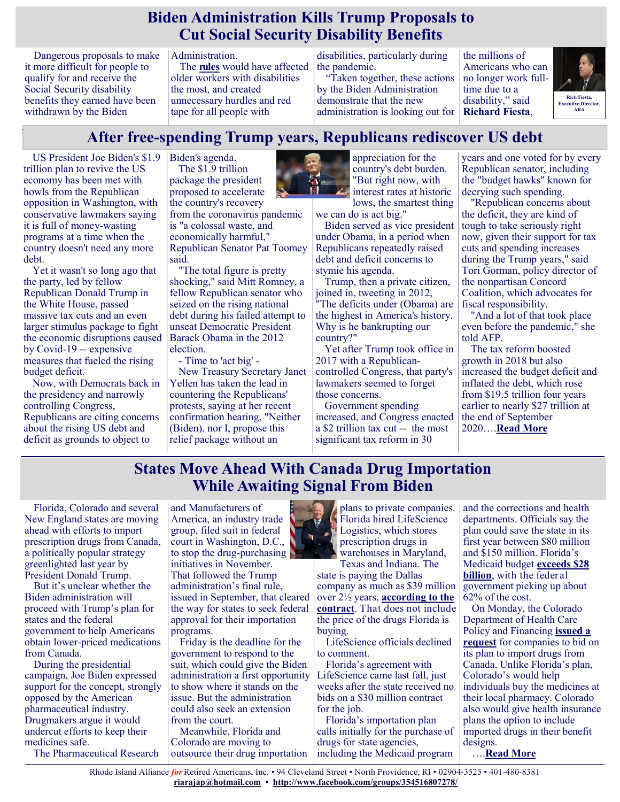#### **Biden Administration Kills Trump Proposals to Cut Social Security Disability Benefits**

Dangerous proposals to make it more difficult for people to qualify for and receive the Social Security disability benefits they earned have been withdrawn by the Biden

Administration.

The **[rules](https://u1584542.ct.sendgrid.net/ss/c/atcYNHk4Eh2YdGnwBh-YDGQ4zPoSiPM74BA_NOkRX0XW7F9WtTNd8lLKx4w7GTbSPpLPt3GUgvRJ6V1lxcOdFBlIgE-pzs8MBuTfGNHZmnkw1fzXlSqvjV4m3xUVUWCUP71v7dbY67QQEC856R4ckA9pk3cuoW9ptjBodpzkfR-qRklmahUMLuJQlTmnyfKzBIArsEzyHG0Z3qdBlhobESyCXR7gr)** would have affected older workers with disabilities the most, and created unnecessary hurdles and red tape for all people with

disabilities, particularly during the pandemic.

"Taken together, these actions by the Biden Administration demonstrate that the new administration is looking out for the millions of Americans who can no longer work fulltime due to a disability," said **Richard Fiesta**,



# **After free-spending Trump years, Republicans rediscover US debt**

US President Joe Biden's \$1.9 trillion plan to revive the US economy has been met with howls from the Republican opposition in Washington, with conservative lawmakers saying it is full of money-wasting programs at a time when the country doesn't need any more debt.

Yet it wasn't so long ago that the party, led by fellow Republican Donald Trump in the White House, passed massive tax cuts and an even larger stimulus package to fight the economic disruptions caused by Covid-19 -- expensive measures that fueled the rising budget deficit.

Now, with Democrats back in the presidency and narrowly controlling Congress, Republicans are citing concerns about the rising US debt and deficit as grounds to object to

Biden's agenda. The \$1.9 trillion package the president proposed to accelerate the country's recovery from the coronavirus pandemic is "a colossal waste, and economically harmful," Republican Senator Pat Toomey said.

"The total figure is pretty shocking," said Mitt Romney, a fellow Republican senator who seized on the rising national debt during his failed attempt to unseat Democratic President Barack Obama in the 2012 election.

- Time to 'act big' -

New Treasury Secretary Janet Yellen has taken the lead in countering the Republicans' protests, saying at her recent confirmation hearing, "Neither (Biden), nor I, propose this relief package without an



appreciation for the country's debt burden. "But right now, with interest rates at historic lows, the smartest thing

we can do is act big."

Biden served as vice president under Obama, in a period when Republicans repeatedly raised debt and deficit concerns to stymie his agenda.

Trump, then a private citizen, joined in, tweeting in 2012, "The deficits under (Obama) are the highest in America's history. Why is he bankrupting our country?"

Yet after Trump took office in 2017 with a Republicancontrolled Congress, that party's lawmakers seemed to forget those concerns.

Government spending increased, and Congress enacted a \$2 trillion tax cut -- the most significant tax reform in 30

years and one voted for by every Republican senator, including the "budget hawks" known for decrying such spending.

"Republican concerns about the deficit, they are kind of tough to take seriously right now, given their support for tax cuts and spending increases during the Trump years," said Tori Gorman, policy director of the nonpartisan Concord Coalition, which advocates for fiscal responsibility.

"And a lot of that took place even before the pandemic," she told AFP.

The tax reform boosted growth in 2018 but also increased the budget deficit and inflated the debt, which rose from \$19.5 trillion four years earlier to nearly \$27 trillion at the end of September 2020….**[Read More](https://www.msn.com/en-us/news/politics/after-free-spending-trump-years-republicans-rediscover-us-debt/ar-BB1dfvFw?ocid=SK2DDHP&li=BBnb7Kz)**

#### **States Move Ahead With Canada Drug Importation While Awaiting Signal From Biden**

Florida, Colorado and several New England states are moving ahead with efforts to import prescription drugs from Canada, a politically popular strategy greenlighted last year by President Donald Trump.

But it's unclear whether the Biden administration will proceed with Trump's plan for states and the federal government to help Americans obtain lower-priced medications from Canada.

During the presidential campaign, Joe Biden expressed support for the concept, strongly opposed by the American pharmaceutical industry. Drugmakers argue it would undercut efforts to keep their medicines safe.

The Pharmaceutical Research

and Manufacturers of America, an industry trade group, filed suit in federal court in Washington, D.C., to stop the drug-purchasing initiatives in November. That followed the Trump administration's final rule, issued in September, that cleared the way for states to seek federal approval for their importation programs.

Friday is the deadline for the government to respond to the suit, which could give the Biden administration a first opportunity to show where it stands on the issue. But the administration could also seek an extension from the court.

Meanwhile, Florida and Colorado are moving to outsource their drug importation



state is paying the Dallas company as much as \$39 million over 2½ years, **[according to the](https://khn.org/wp-content/uploads/sites/2/2021/01/MED214_CPDIP_New-Contract_12.29.2020_Redacted.pdf)  [contract](https://khn.org/wp-content/uploads/sites/2/2021/01/MED214_CPDIP_New-Contract_12.29.2020_Redacted.pdf)**. That does not include the price of the drugs Florida is buying.

LifeScience officials declined to comment.

Florida's agreement with LifeScience came last fall, just weeks after the state received no bids on a \$30 million contract for the job.

Florida's importation plan calls initially for the purchase of drugs for state agencies, including the Medicaid program

and the corrections and health departments. Officials say the plan could save the state in its first year between \$80 million and \$150 million. Florida's Medicaid budget **[exceeds \\$28](https://ahca.myflorida.com/medicaid/finance/finance/index.shtml)  [billion](https://ahca.myflorida.com/medicaid/finance/finance/index.shtml)**, with the federal government picking up about 62% of the cost.

On Monday, the Colorado Department of Health Care Policy and Financing **[issued a](https://www.colorado.gov/governor/news/4071-colorado-releases-solicitation-import-prescription-drugs-canada)  [request](https://www.colorado.gov/governor/news/4071-colorado-releases-solicitation-import-prescription-drugs-canada)** for companies to bid on its plan to import drugs from Canada. Unlike Florida's plan, Colorado's would help individuals buy the medicines at their local pharmacy. Colorado also would give health insurance plans the option to include imported drugs in their benefit designs.

….**[Read More](https://khn.org/news/article/states-move-ahead-with-canada-drug-importation-while-awaiting-signal-from-biden/)**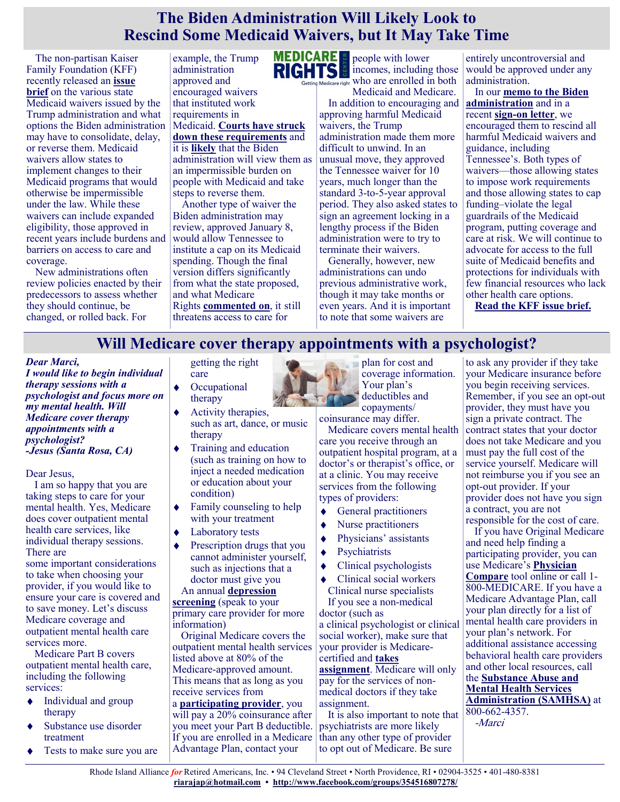#### **The Biden Administration Will Likely Look to Rescind Some Medicaid Waivers, but It May Take Time**

The non-partisan Kaiser Family Foundation (KFF) recently released an **[issue](https://www.kff.org/medicaid/issue-brief/tennessee-other-medicaid-1115-waiver-activity-implications-for-the-biden-administration/)  [brief](https://www.kff.org/medicaid/issue-brief/tennessee-other-medicaid-1115-waiver-activity-implications-for-the-biden-administration/)** on the various state Medicaid waivers issued by the Trump administration and what options the Biden administration may have to consolidate, delay, or reverse them. Medicaid waivers allow states to implement changes to their Medicaid programs that would otherwise be impermissible under the law. While these waivers can include expanded eligibility, those approved in recent years include burdens and barriers on access to care and coverage.

New administrations often review policies enacted by their predecessors to assess whether they should continue, be changed, or rolled back. For

example, the Trump administration approved and encouraged waivers that instituted work requirements in Medicaid. **[Courts have struck](https://www.medicarerights.org/medicare-watch/2020/02/20/blog-federal-appeals-court-rules-against-medicaid-work-requirements-in-arkansas)  [down these requirements](https://www.medicarerights.org/medicare-watch/2020/02/20/blog-federal-appeals-court-rules-against-medicaid-work-requirements-in-arkansas)** and it is **[likely](https://www.whitehouse.gov/briefing-room/statements-releases/2021/01/28/fact-sheet-president-biden-to-sign-executive-orders-strengthening-americans-access-to-quality-affordable-health-care/)** that the Biden administration will view them as an impermissible burden on people with Medicaid and take

steps to reverse them. Another type of waiver the Biden administration may review, approved January 8, would allow Tennessee to institute a cap on its Medicaid spending. Though the final version differs significantly from what the state proposed, and what Medicare Rights **[commented on](https://www.medicarerights.org/policy-documents/comments-tenncare-demonstration-amendment-42)**, it still threatens access to care for

people with lower incomes, including those Betting Medicare right Who are enrolled in both

Medicaid and Medicare. In addition to encouraging and approving harmful Medicaid waivers, the Trump administration made them more difficult to unwind. In an unusual move, they approved the Tennessee waiver for 10 years, much longer than the standard 3-to-5-year approval period. They also asked states to sign an agreement locking in a lengthy process if the Biden administration were to try to terminate their waivers.

Generally, however, new administrations can undo previous administrative work, though it may take months or even years. And it is important to note that some waivers are

entirely uncontroversial and would be approved under any administration.

In our **[memo to the Biden](https://www.medicarerights.org/medicare-watch/2021/01/21/medicare-rights-recommends-key-policy-actions-for-the-new-biden-administration)  administration** and in a recent **sign-[on letter](https://ccf.georgetown.edu/wp-content/uploads/2017/10/FINAL_Work-Requirements_Sign_On_Letter-to-Becerra.pdf)**, we encouraged them to rescind all harmful Medicaid waivers and guidance, including Tennessee's. Both types of waivers—those allowing states to impose work requirements and those allowing states to cap funding–violate the legal guardrails of the Medicaid program, putting coverage and care at risk. We will continue to advocate for access to the full suite of Medicaid benefits and protections for individuals with few financial resources who lack other health care options.

**[Read the KFF issue brief.](https://www.kff.org/medicaid/issue-brief/tennessee-other-medicaid-1115-waiver-activity-implications-for-the-biden-administration/)**

## **Will Medicare cover therapy appointments with a psychologist?**

#### *Dear Marci,*

*I would like to begin individual therapy sessions with a psychologist and focus more on my mental health. Will Medicare cover therapy appointments with a psychologist? -Jesus (Santa Rosa, CA)*

Dear Jesus,

I am so happy that you are taking steps to care for your mental health. Yes, Medicare does cover outpatient mental health care services, like individual therapy sessions. There are

some important considerations to take when choosing your provider, if you would like to ensure your care is covered and to save money. Let's discuss Medicare coverage and outpatient mental health care services more.

Medicare Part B covers outpatient mental health care, including the following services:

- Individual and group  $\bullet$ therapy
- Substance use disorder treatment
- Tests to make sure you are

getting the right care

- **Occupational** therapy
- Activity therapies, such as art, dance, or music therapy
- Training and education (such as training on how to inject a needed medication or education about your condition)
- Family counseling to help with your treatment
- Laboratory tests
- Prescription drugs that you cannot administer yourself, such as injections that a doctor must give you

An annual **[depression](https://medicarerights.us15.list-manage.com/track/click?u=1621f54a596f3717c22815356&id=951d35f900&e=88d22ba1fe)  [screening](https://medicarerights.us15.list-manage.com/track/click?u=1621f54a596f3717c22815356&id=951d35f900&e=88d22ba1fe)** (speak to your primary care provider for more information)

Original Medicare covers the outpatient mental health services listed above at 80% of the Medicare-approved amount. This means that as long as you receive services from a **[participating provider](https://medicarerights.us15.list-manage.com/track/click?u=1621f54a596f3717c22815356&id=42063710cd&e=88d22ba1fe)**, you will pay a 20% coinsurance after you meet your Part B deductible.

If you are enrolled in a Medicare Advantage Plan, contact your



coinsurance may differ.

Medicare covers mental health care you receive through an outpatient hospital program, at a doctor's or therapist's office, or at a clinic. You may receive services from the following types of providers:

- General practitioners
- Nurse practitioners  $\ddot{\bullet}$
- Physicians' assistants
- Psychiatrists  $\blacklozenge$
- Clinical psychologists
- Clinical social workers Clinical nurse specialists

If you see a non-medical doctor (such as a clinical psychologist or clinical social worker), make sure that your provider is Medicarecertified and **[takes](https://medicarerights.us15.list-manage.com/track/click?u=1621f54a596f3717c22815356&id=44f24fd873&e=88d22ba1fe)** 

**[assignment](https://medicarerights.us15.list-manage.com/track/click?u=1621f54a596f3717c22815356&id=44f24fd873&e=88d22ba1fe)**. Medicare will only pay for the services of nonmedical doctors if they take assignment.

It is also important to note that psychiatrists are more likely than any other type of provider to opt out of Medicare. Be sure

to ask any provider if they take your Medicare insurance before you begin receiving services. Remember, if you see an opt-out provider, they must have you sign a private contract. The contract states that your doctor does not take Medicare and you must pay the full cost of the service yourself. Medicare will not reimburse you if you see an opt-out provider. If your provider does not have you sign a contract, you are not responsible for the cost of care.

If you have Original Medicare and need help finding a participating provider, you can use Medicare's **[Physician](https://medicarerights.us15.list-manage.com/track/click?u=1621f54a596f3717c22815356&id=7aca642028&e=88d22ba1fe)  [Compare](https://medicarerights.us15.list-manage.com/track/click?u=1621f54a596f3717c22815356&id=7aca642028&e=88d22ba1fe)** tool online or call 1- 800-MEDICARE. If you have a Medicare Advantage Plan, call your plan directly for a list of mental health care providers in your plan's network. For additional assistance accessing behavioral health care providers and other local resources, call the **[Substance Abuse and](https://medicarerights.us15.list-manage.com/track/click?u=1621f54a596f3717c22815356&id=de0e36cdaa&e=88d22ba1fe)  [Mental Health Services](https://medicarerights.us15.list-manage.com/track/click?u=1621f54a596f3717c22815356&id=de0e36cdaa&e=88d22ba1fe)  [Administration \(SAMHSA\)](https://medicarerights.us15.list-manage.com/track/click?u=1621f54a596f3717c22815356&id=de0e36cdaa&e=88d22ba1fe)** at 800-662-4357.

-Marci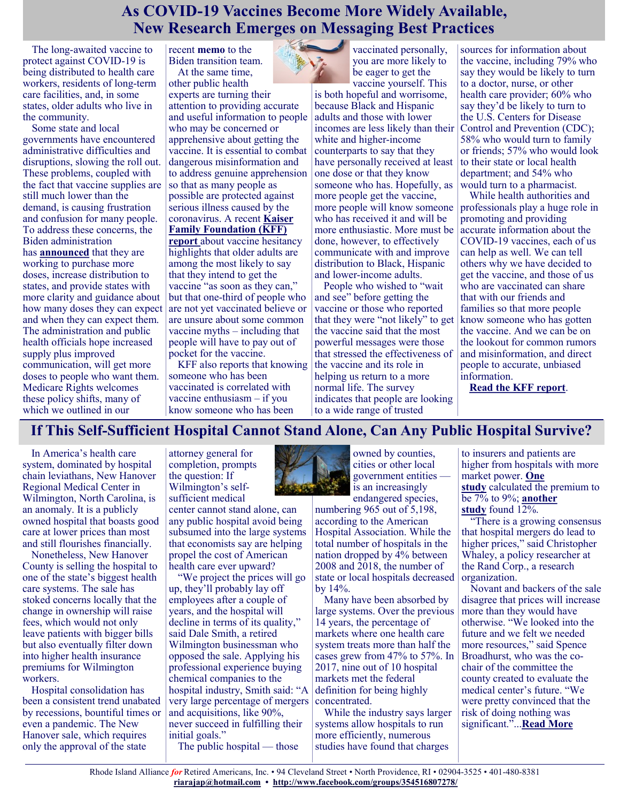## **As COVID-19 Vaccines Become More Widely Available, New Research Emerges on Messaging Best Practices**

The long-awaited vaccine to protect against COVID-19 is being distributed to health care workers, residents of long-term care facilities, and, in some states, older adults who live in the community.

Some state and local governments have encountered administrative difficulties and disruptions, slowing the roll out. These problems, coupled with the fact that vaccine supplies are still much lower than the demand, is causing frustration and confusion for many people. To address these concerns, the Biden administration has **[announced](https://www.npr.org/sections/president-biden-takes-office/2021/01/26/960857706/the-biden-administration-is-working-to-buy-200-million-more-covid-19-vaccine-dos)** that they are working to purchase more doses, increase distribution to states, and provide states with more clarity and guidance about how many doses they can expect and when they can expect them. The administration and public health officials hope increased supply plus improved communication, will get more doses to people who want them. Medicare Rights welcomes these policy shifts, many of which we outlined in our

recent **[memo](https://www.medicarerights.org/policy-documents/policy-recommendations-for-the-biden-administration)** to the Biden transition team. At the same time,

other public health experts are turning their attention to providing accurate and useful information to people who may be concerned or apprehensive about getting the vaccine. It is essential to combat dangerous misinformation and to address genuine apprehension so that as many people as possible are protected against serious illness caused by the coronavirus. A recent **[Kaiser](https://www.kff.org/report-section/kff-covid-19-vaccine-monitor-january-2021-vaccine-hesitancy/)  [Family Foundation \(KFF\)](https://www.kff.org/report-section/kff-covid-19-vaccine-monitor-january-2021-vaccine-hesitancy/)  [report](https://www.kff.org/report-section/kff-covid-19-vaccine-monitor-january-2021-vaccine-hesitancy/)** about vaccine hesitancy highlights that older adults are among the most likely to say that they intend to get the vaccine "as soon as they can," but that one-third of people who are not yet vaccinated believe or are unsure about some common vaccine myths – including that people will have to pay out of pocket for the vaccine.

KFF also reports that knowing someone who has been vaccinated is correlated with vaccine enthusiasm – if you know someone who has been

vaccinated personally, you are more likely to be eager to get the

vaccine yourself. This is both hopeful and worrisome, because Black and Hispanic adults and those with lower incomes are less likely than their white and higher-income counterparts to say that they have personally received at least one dose or that they know someone who has. Hopefully, as more people get the vaccine, more people will know someone who has received it and will be more enthusiastic. More must be done, however, to effectively communicate with and improve distribution to Black, Hispanic and lower-income adults.

People who wished to "wait and see" before getting the vaccine or those who reported that they were "not likely" to get the vaccine said that the most powerful messages were those that stressed the effectiveness of the vaccine and its role in helping us return to a more normal life. The survey indicates that people are looking to a wide range of trusted

sources for information about the vaccine, including 79% who say they would be likely to turn to a doctor, nurse, or other health care provider; 60% who say they'd be likely to turn to the U.S. Centers for Disease Control and Prevention (CDC); 58% who would turn to family or friends; 57% who would look to their state or local health department; and 54% who would turn to a pharmacist.

While health authorities and professionals play a huge role in promoting and providing accurate information about the COVID-19 vaccines, each of us can help as well. We can tell others why we have decided to get the vaccine, and those of us who are vaccinated can share that with our friends and families so that more people know someone who has gotten the vaccine. And we can be on the lookout for common rumors and misinformation, and direct people to accurate, unbiased information.

**[Read the KFF report](https://www.kff.org/report-section/kff-covid-19-vaccine-monitor-january-2021-vaccine-hesitancy/)**.

#### **If This Self-Sufficient Hospital Cannot Stand Alone, Can Any Public Hospital Survive?**

In America's health care system, dominated by hospital chain leviathans, New Hanover Regional Medical Center in Wilmington, North Carolina, is an anomaly. It is a publicly owned hospital that boasts good care at lower prices than most and still flourishes financially.

Nonetheless, New Hanover County is selling the hospital to one of the state's biggest health care systems. The sale has stoked concerns locally that the change in ownership will raise fees, which would not only leave patients with bigger bills but also eventually filter down into higher health insurance premiums for Wilmington workers.

Hospital consolidation has been a consistent trend unabated by recessions, bountiful times or even a pandemic. The New Hanover sale, which requires only the approval of the state

attorney general for completion, prompts the question: If Wilmington's selfsufficient medical center cannot stand alone, can

any public hospital avoid being subsumed into the large systems that economists say are helping propel the cost of American health care ever upward?

"We project the prices will go up, they'll probably lay off employees after a couple of years, and the hospital will decline in terms of its quality," said Dale Smith, a retired Wilmington businessman who opposed the sale. Applying his professional experience buying chemical companies to the hospital industry, Smith said: "A very large percentage of mergers and acquisitions, like 90%, never succeed in fulfilling their initial goals." The public hospital — those



numbering 965 out of 5,198, according to the American Hospital Association. While the total number of hospitals in the nation dropped by 4% between 2008 and 2018, the number of state or local hospitals decreased by 14%.

Many have been absorbed by large systems. Over the previous 14 years, the percentage of markets where one health care system treats more than half the cases grew from 47% to 57%. In 2017, nine out of 10 hospital markets met the federal definition for being highly concentrated.

While the industry says larger systems allow hospitals to run more efficiently, numerous studies have found that charges

to insurers and patients are higher from hospitals with more market power. **[One](https://kff4-my.sharepoint.com/personal/jordanr_kff_org/Documents/Documents/Hospitals/HCA%20Foundations)  [study](https://kff4-my.sharepoint.com/personal/jordanr_kff_org/Documents/Documents/Hospitals/HCA%20Foundations)** calculated the premium to be 7% to 9%; **[another](https://www.nber.org/system/files/working_papers/w21815/w21815.pdf)**  [study](https://www.nber.org/system/files/working_papers/w21815/w21815.pdf) found  $12\%$ .

"There is a growing consensus that hospital mergers do lead to higher prices," said Christopher Whaley, a policy researcher at the Rand Corp., a research organization.

Novant and backers of the sale disagree that prices will increase more than they would have otherwise. "We looked into the future and we felt we needed more resources," said Spence Broadhurst, who was the cochair of the committee the county created to evaluate the medical center's future. "We were pretty convinced that the risk of doing nothing was significant."...**[Read More](https://khn.org/news/article/if-this-self-sufficient-hospital-cannot-stand-alone-can-any-public-hospital-survive/)**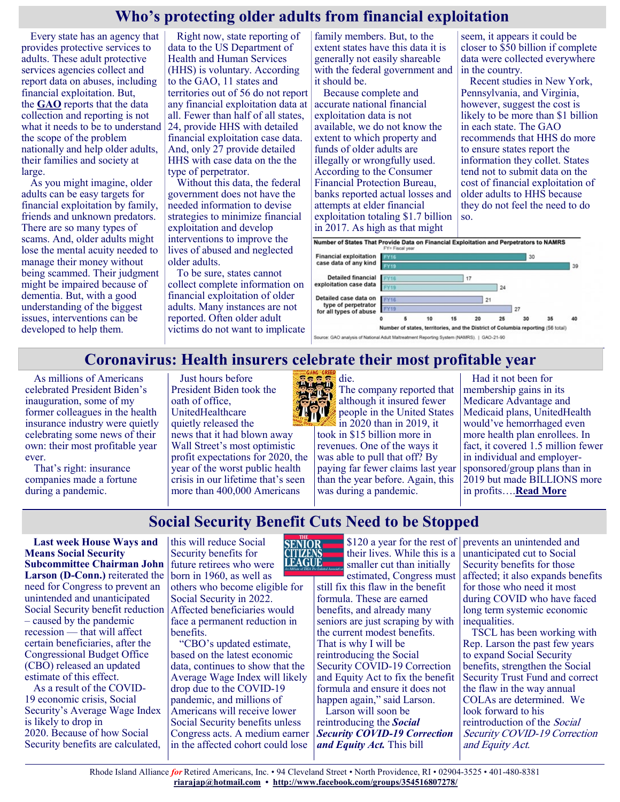#### **Who's protecting older adults from financial exploitation**

Every state has an agency that provides protective services to adults. These adult protective services agencies collect and report data on abuses, including financial exploitation. But, the **[GAO](https://www.gao.gov/products/gao-21-90)** reports that the data collection and reporting is not what it needs to be to understand the scope of the problem nationally and help older adults, their families and society at large.

As you might imagine, older adults can be easy targets for financial exploitation by family, friends and unknown predators. There are so many types of scams. And, older adults might lose the mental acuity needed to manage their money without being scammed. Their judgment might be impaired because of dementia. But, with a good understanding of the biggest issues, interventions can be developed to help them.

Right now, state reporting of data to the US Department of Health and Human Services (HHS) is voluntary. According to the GAO, 11 states and territories out of 56 do not report any financial exploitation data at all. Fewer than half of all states, 24, provide HHS with detailed financial exploitation case data. And, only 27 provide detailed HHS with case data on the the type of perpetrator.

Without this data, the federal government does not have the needed information to devise strategies to minimize financial exploitation and develop interventions to improve the lives of abused and neglected older adults.

To be sure, states cannot collect complete information on financial exploitation of older adults. Many instances are not reported. Often older adult victims do not want to implicate

family members. But, to the extent states have this data it is generally not easily shareable with the federal government and it should be.

Because complete and accurate national financial exploitation data is not available, we do not know the extent to which property and funds of older adults are illegally or wrongfully used. According to the Consumer Financial Protection Bureau, banks reported actual losses and attempts at elder financial exploitation totaling \$1.7 billion in 2017. As high as that might

seem, it appears it could be closer to \$50 billion if complete data were collected everywhere in the country.

Recent studies in New York, Pennsylvania, and Virginia, however, suggest the cost is likely to be more than \$1 billion in each state. The GAO recommends that HHS do more to ensure states report the information they collet. States tend not to submit data on the cost of financial exploitation of older adults to HHS because they do not feel the need to do so.





#### **Coronavirus: Health insurers celebrate their most profitable year**

As millions of Americans celebrated President Biden's inauguration, some of my former colleagues in the health insurance industry were quietly celebrating some news of their own: their most profitable year ever.

That's right: insurance companies made a fortune during a pandemic.

Just hours before President Biden took the oath of office, UnitedHealthcare quietly [released the](https://u1584542.ct.sendgrid.net/ss/c/atcYNHk4Eh2YdGnwBh-YDGI2GVGELfT0H8VTPji2jDDMiP8DX8kFWrRgemt_Dgr_e0O2YU_JYrt9rkJJBqGnHMZxHOItF0lKePXnvow1vyqtHiXjCqgxh097V5ACp51LN8jUjZY5iKRtA9ht4VrckUCwTSTH0q8s7Yxn7fLCNmDHZgzOiyRwViLftSybEt4YSj3MR-nq9W_vJQIHAxrXb1gj8veer)  [news](https://u1584542.ct.sendgrid.net/ss/c/atcYNHk4Eh2YdGnwBh-YDGI2GVGELfT0H8VTPji2jDDMiP8DX8kFWrRgemt_Dgr_e0O2YU_JYrt9rkJJBqGnHMZxHOItF0lKePXnvow1vyqtHiXjCqgxh097V5ACp51LN8jUjZY5iKRtA9ht4VrckUCwTSTH0q8s7Yxn7fLCNmDHZgzOiyRwViLftSybEt4YSj3MR-nq9W_vJQIHAxrXb1gj8veer) that it had blown away Wall Street's most optimistic profit expectations for 2020, the year of the worst public health crisis in our lifetime that's seen more than 400,000 Americans



die. The company reported that although it insured fewer people in the United States in 2020 than in 2019, it took in \$15 billion more in revenues. One of the ways it was able to pull that off? By paying far fewer claims last year than the year before. Again, this was during a pandemic.

Had it not been for membership gains in its Medicare Advantage and Medicaid plans, UnitedHealth would've hemorrhaged even more health plan enrollees. In fact, it covered 1.5 million fewer in individual and employersponsored/group plans than in 2019 but made BILLIONS more in profits….**[Read More](https://justcareusa.org/coronavirus-health-insurers-celebrate-their-most-profitable-year/)**

# **Social Security Benefit Cuts Need to be Stopped**

**Last week House Ways and Means Social Security Subcommittee Chairman John Larson (D-Conn.)** reiterated the need for Congress to prevent an unintended and unanticipated Social Security benefit reduction – caused by the pandemic recession — that will affect certain beneficiaries, after the Congressional Budget Office (CBO) released an updated estimate of this effect.

As a result of the COVID-19 economic crisis, Social Security's Average Wage Index is likely to drop in 2020. Because of how Social Security benefits are calculated,

this will reduce Social Security benefits for future retirees who were born in 1960, as well as

others who become eligible for Social Security in 2022. Affected beneficiaries would face a permanent reduction in benefits.

"CBO's updated estimate, based on the latest economic data, continues to show that the Average Wage Index will likely drop due to the COVID-19 pandemic, and millions of Americans will receive lower Social Security benefits unless Congress acts. A medium earner in the affected cohort could lose



their lives. While this is a smaller cut than initially

estimated, Congress must still fix this flaw in the benefit formula. These are earned benefits, and already many seniors are just scraping by with the current modest benefits. That is why I will be reintroducing the Social Security COVID-19 Correction and Equity Act to fix the benefit formula and ensure it does not happen again," said Larson.

Larson will soon be reintroducing the *Social Security COVID-19 Correction and Equity Act.* This bill

\$120 a year for the rest of prevents an unintended and unanticipated cut to Social Security benefits for those affected; it also expands benefits for those who need it most during COVID who have faced long term systemic economic inequalities.

TSCL has been working with Rep. Larson the past few years to expand Social Security benefits, strengthen the Social Security Trust Fund and correct the flaw in the way annual COLAs are determined. We look forward to his reintroduction of the Social Security COVID-19 Correction and Equity Act.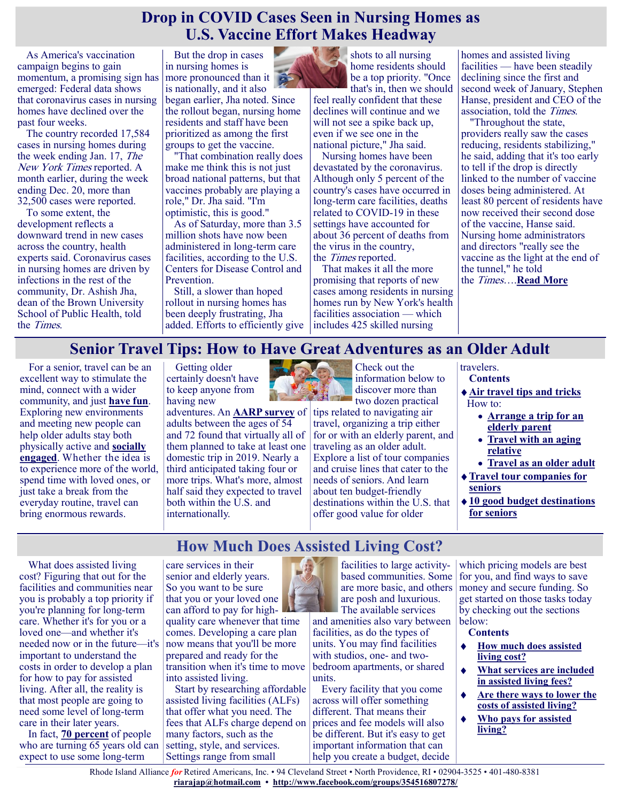#### **Drop in COVID Cases Seen in Nursing Homes as U.S. Vaccine Effort Makes Headway**

As America's vaccination campaign begins to gain momentum, a promising sign has emerged: Federal data shows that coronavirus cases in nursing homes have declined over the past four weeks.

The country recorded 17,584 cases in nursing homes during the week ending Jan. 17, The New York Times reported. A month earlier, during the week ending Dec. 20, more than 32,500 cases were reported.

To some extent, the development reflects a downward trend in new cases across the country, health experts said. Coronavirus cases in nursing homes are driven by infections in the rest of the community, Dr. Ashish Jha, dean of the Brown University School of Public Health, told the Times.

But the drop in cases in nursing homes is more pronounced than it is nationally, and it also

began earlier, Jha noted. Since the rollout began, nursing home residents and staff have been prioritized as among the first groups to get the vaccine.

"That combination really does make me think this is not just broad national patterns, but that vaccines probably are playing a role," Dr. Jha said. "I'm optimistic, this is good."

As of Saturday, more than 3.5 million shots have now been administered in long-term care facilities, according to the U.S. Centers for Disease Control and Prevention.

Still, a slower than hoped rollout in nursing homes has been deeply frustrating, Jha added. Efforts to efficiently give



shots to all nursing home residents should be a top priority. "Once that's in, then we should

feel really confident that these declines will continue and we will not see a spike back up, even if we see one in the national picture," Jha said.

Nursing homes have been devastated by the coronavirus. Although only 5 percent of the country's cases have occurred in long-term care facilities, deaths related to COVID-19 in these settings have accounted for about 36 percent of deaths from the virus in the country, the Times reported.

That makes it all the more promising that reports of new cases among residents in nursing homes run by New York's health facilities association — which includes 425 skilled nursing

homes and assisted living facilities — have been steadily declining since the first and second week of January, Stephen Hanse, president and CEO of the association, told the Times.

"Throughout the state, providers really saw the cases reducing, residents stabilizing," he said, adding that it's too early to tell if the drop is directly linked to the number of vaccine doses being administered. At least 80 percent of residents have now received their second dose of the vaccine, Hanse said. Nursing home administrators and directors "really see the vaccine as the light at the end of the tunnel," he told the Times….**[Read More](https://consumer.healthday.com/2-1-drop-in-covid-cases-seen-in-nursing-homes-as-vaccine-effort-makes-progress-2650230504.html)**

#### **Senior Travel Tips: How to Have Great Adventures as an Older Adult**

**How Much Does Assisted Living Cost?**

For a senior, travel can be an excellent way to stimulate the mind, connect with a wider community, and just **[have fun](https://www.greatseniorliving.com/articles/fun-activities-for-seniors)**. Exploring new environments and meeting new people can help older adults stay both physically active and **[socially](https://www.greatseniorliving.com/health-wellness/social-well-being)  [engaged](https://www.greatseniorliving.com/health-wellness/social-well-being)**. Whether the idea is to experience more of the world, spend time with loved ones, or just take a break from the everyday routine, travel can bring enormous rewards.

Getting older certainly doesn't have to keep anyone from having new

adventures. An **[AARP survey](https://www.aarp.org/content/dam/aarp/research/surveys_statistics/life-leisure/2018/2019-boomer-travel-trends.doi.10.26419-2Fres.00263.001.pdf)** of adults between the ages of 54 and 72 found that virtually all of them planned to take at least one domestic trip in 2019. Nearly a third anticipated taking four or more trips. What's more, almost half said they expected to travel both within the U.S. and internationally.



Check out the information below to discover more than two dozen practical

tips related to navigating air travel, organizing a trip either for or with an elderly parent, and traveling as an older adult. Explore a list of tour companies and cruise lines that cater to the needs of seniors. And learn about ten budget-friendly destinations within the U.S. that offer good value for older

#### **travelers**

- **Contents**
- **[Air travel tips and tricks](https://www.greatseniorliving.com/articles/senior-travel#air-travel)** How to:
	- **[Arrange a trip for an](https://www.greatseniorliving.com/articles/senior-travel#elderly-parent)  [elderly parent](https://www.greatseniorliving.com/articles/senior-travel#elderly-parent)**
	- **[Travel with an aging](https://www.greatseniorliving.com/articles/senior-travel#aging-relative)  [relative](https://www.greatseniorliving.com/articles/senior-travel#aging-relative)**
	- **[Travel as an older adult](https://www.greatseniorliving.com/articles/senior-travel#older-adult)**
- **[Travel tour companies for](https://www.greatseniorliving.com/articles/senior-travel#tour-companies)  [seniors](https://www.greatseniorliving.com/articles/senior-travel#tour-companies)**
- **[10 good budget destinations](https://www.greatseniorliving.com/articles/senior-travel#budget-destinations)  [for seniors](https://www.greatseniorliving.com/articles/senior-travel#budget-destinations)**

What does assisted living cost? Figuring that out for the facilities and communities near you is probably a top priority if you're planning for long-term care. Whether it's for you or a loved one—and whether it's needed now or in the future—it's important to understand the costs in order to develop a plan for how to pay for assisted living. After all, the reality is that most people are going to need some level of long-term care in their later years.

In fact, **[70 percent](https://longtermcare.acl.gov/the-basics/who-needs-care.html)** of people who are turning 65 years old can expect to use some long-term

care services in their senior and elderly years. So you want to be sure that you or your loved one can afford to pay for highquality care whenever that time comes. Developing a care plan now means that you'll be more prepared and ready for the

transition when it's time to move into assisted living. Start by researching affordable

assisted living facilities (ALFs) that offer what you need. The fees that ALFs charge depend on many factors, such as the setting, style, and services. Settings range from small

facilities to large activitybased communities. Some are more basic, and others are posh and luxurious. The available services

and amenities also vary between facilities, as do the types of units. You may find facilities with studios, one- and twobedroom apartments, or shared units.

Every facility that you come across will offer something different. That means their prices and fee models will also be different. But it's easy to get important information that can help you create a budget, decide

which pricing models are best for you, and find ways to save money and secure funding. So get started on those tasks today by checking out the sections below:

#### **Contents**

- $\bullet$ **[How much does assisted](https://www.greatseniorliving.com/articles/assisted-living-cost#living-cost)  [living cost?](https://www.greatseniorliving.com/articles/assisted-living-cost#living-cost)**
- $\bullet$ **[What services are included](https://www.greatseniorliving.com/articles/assisted-living-cost#living-fees)  [in assisted living fees?](https://www.greatseniorliving.com/articles/assisted-living-cost#living-fees)**
- **[Are there ways to lower the](https://www.greatseniorliving.com/articles/assisted-living-cost#lower-the-cost)  [costs of assisted living?](https://www.greatseniorliving.com/articles/assisted-living-cost#lower-the-cost)**
- **[Who pays for assisted](https://www.greatseniorliving.com/articles/assisted-living-cost#who-pays)  [living?](https://www.greatseniorliving.com/articles/assisted-living-cost#who-pays)**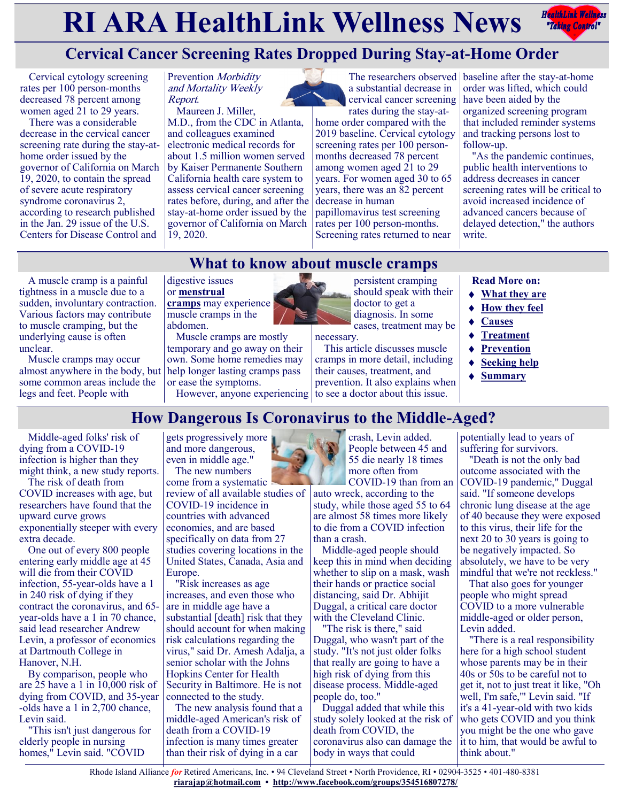# **RIARA HealthLink Wellness News** Factual Fellows



# **Cervical Cancer Screening Rates Dropped During Stay-at-Home Order**

Cervical cytology screening rates per 100 person-months decreased 78 percent among women aged  $21$  to 29 years.

There was a considerable decrease in the cervical cancer screening rate during the stay-athome order issued by the governor of California on March 19, 2020, to contain the spread of severe acute respiratory syndrome coronavirus 2, according to research published in the Jan. 29 issue of the U.S. Centers for Disease Control and

A muscle cramp is a painful tightness in a muscle due to a sudden, involuntary contraction. Various factors may contribute to muscle cramping, but the underlying cause is often

Muscle cramps may occur

unclear.

Prevention Morbidity and Mortality Weekly Report.

Maureen J. Miller, M.D., from the CDC in Atlanta, and colleagues examined electronic medical records for about 1.5 million women served by Kaiser Permanente Southern California health care system to assess cervical cancer screening rates before, during, and after the stay-at-home order issued by the governor of California on March 19, 2020.

a substantial decrease in cervical cancer screening rates during the stay-at-

home order compared with the 2019 baseline. Cervical cytology screening rates per 100 personmonths decreased 78 percent among women aged 21 to 29 years. For women aged 30 to 65 years, there was an 82 percent decrease in human papillomavirus test screening rates per 100 person-months. Screening rates returned to near

The researchers observed baseline after the stay-at-home order was lifted, which could have been aided by the organized screening program that included reminder systems and tracking persons lost to follow-up.

> "As the pandemic continues, public health interventions to address decreases in cancer screening rates will be critical to avoid increased incidence of advanced cancers because of delayed detection," the authors write.

## **What to know about muscle cramps**

#### digestive issues or **[menstrual](https://www.medicalnewstoday.com/articles/157333)**

**[cramps](https://www.medicalnewstoday.com/articles/157333)** may experience muscle cramps in the abdomen.

almost anywhere in the body, but help longer lasting cramps pass Muscle cramps are mostly temporary and go away on their own. Some home remedies may or ease the symptoms.

However, anyone experiencing to see a doctor about this issue.

persistent cramping should speak with their doctor to get a diagnosis. In some cases, treatment may be

necessary. This article discusses muscle cramps in more detail, including their causes, treatment, and prevention. It also explains when **Read More on:**

- **[What they are](https://www.medicalnewstoday.com/articles/what-causes-cramps)**
- ◆ [How they feel](https://www.medicalnewstoday.com/articles/what-causes-cramps#how-they-feel)
- **[Causes](https://www.medicalnewstoday.com/articles/what-causes-cramps#causes)**
- ◆ [Treatment](https://www.medicalnewstoday.com/articles/what-causes-cramps#treatment)
- **[Prevention](https://www.medicalnewstoday.com/articles/what-causes-cramps#prevention)**
- **[Seeking help](https://www.medicalnewstoday.com/articles/what-causes-cramps#seeking-help)**
- **[Summary](https://www.medicalnewstoday.com/articles/what-causes-cramps#summary)**

**How Dangerous Is Coronavirus to the Middle-Aged?** Middle-aged folks' risk of some common areas include the legs and feet. People with

dying from a COVID-19 infection is higher than they might think, a new study reports.

The risk of death from COVID increases with age, but researchers have found that the upward curve grows exponentially steeper with every extra decade.

One out of every 800 people entering early middle age at 45 will die from their COVID infection, 55-year-olds have a 1 in 240 risk of dying if they contract the coronavirus, and 65 year-olds have a 1 in 70 chance, said lead researcher Andrew Levin, a professor of economics at Dartmouth College in Hanover, N.H.

By comparison, people who are 25 have a 1 in 10,000 risk of dying from COVID, and 35-year -olds have a 1 in 2,700 chance, Levin said.

"This isn't just dangerous for elderly people in nursing homes," Levin said. "COVID

gets progressively more and more dangerous, even in middle age." The new numbers

come from a systematic review of all available studies of COVID-19 incidence in countries with advanced economies, and are based specifically on data from 27 studies covering locations in the United States, Canada, Asia and Europe.

"Risk increases as age increases, and even those who are in middle age have a substantial [death] risk that they should account for when making risk calculations regarding the virus," said Dr. Amesh Adalja, a senior scholar with the Johns Hopkins Center for Health Security in Baltimore. He is not connected to the study.

The new analysis found that a middle-aged American's risk of death from a COVID-19 infection is many times greater than their risk of dying in a car

crash, Levin added. People between 45 and 55 die nearly 18 times more often from COVID-19 than from an

auto wreck, according to the study, while those aged 55 to 64 are almost 58 times more likely to die from a COVID infection than a crash.

Middle-aged people should keep this in mind when deciding whether to slip on a mask, wash their hands or practice social distancing, said Dr. Abhijit Duggal, a critical care doctor with the Cleveland Clinic.

"The risk is there," said Duggal, who wasn't part of the study. "It's not just older folks that really are going to have a high risk of dying from this disease process. Middle-aged people do, too."

Duggal added that while this study solely looked at the risk of death from COVID, the coronavirus also can damage the body in ways that could

potentially lead to years of suffering for survivors.

"Death is not the only bad outcome associated with the COVID-19 pandemic," Duggal said. "If someone develops chronic lung disease at the age of 40 because they were exposed to this virus, their life for the next 20 to 30 years is going to be negatively impacted. So absolutely, we have to be very mindful that we're not reckless."

That also goes for younger people who might spread COVID to a more vulnerable middle-aged or older person, Levin added.

"There is a real responsibility here for a high school student whose parents may be in their 40s or 50s to be careful not to get it, not to just treat it like, "Oh well, I'm safe,'" Levin said. "If it's a 41-year-old with two kids who gets COVID and you think you might be the one who gave it to him, that would be awful to think about."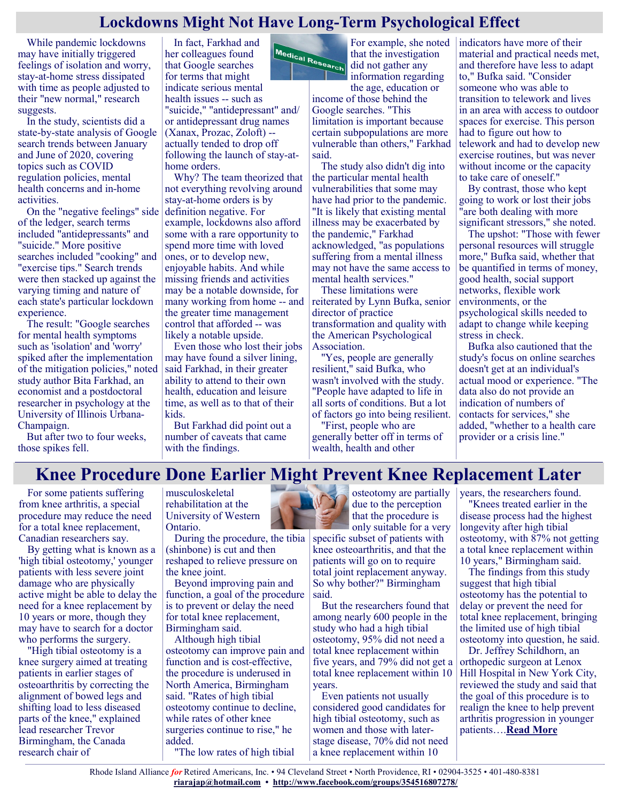#### **Lockdowns Might Not Have Long-Term Psychological Effect**

While pandemic lockdowns may have initially triggered feelings of isolation and worry, stay-at-home stress dissipated with time as people adjusted to their "new normal," research suggests.

In the study, scientists did a state-by-state analysis of Google search trends between January and June of 2020, covering topics such as COVID regulation policies, mental health concerns and in-home activities.

On the "negative feelings" side of the ledger, search terms included "antidepressants" and "suicide." More positive searches included "cooking" and "exercise tips." Search trends were then stacked up against the varying timing and nature of each state's particular lockdown experience.

The result: "Google searches for mental health symptoms such as 'isolation' and 'worry' spiked after the implementation of the mitigation policies," noted study author Bita Farkhad, an economist and a postdoctoral researcher in psychology at the University of Illinois Urbana-Champaign.

But after two to four weeks, those spikes fell.

In fact, Farkhad and her colleagues found that Google searches for terms that might indicate serious mental health issues -- such as "suicide," "antidepressant" and/ or antidepressant drug names (Xanax, Prozac, Zoloft) - actually tended to drop off following the launch of stay-athome orders.

Why? The team theorized that not everything revolving around stay-at-home orders is by definition negative. For example, lockdowns also afford some with a rare opportunity to spend more time with loved ones, or to develop new, enjoyable habits. And while missing friends and activities may be a notable downside, for many working from home -- and the greater time management control that afforded -- was likely a notable upside.

Even those who lost their jobs may have found a silver lining, said Farkhad, in their greater ability to attend to their own health, education and leisure time, as well as to that of their kids.

But Farkhad did point out a number of caveats that came with the findings.



For example, she noted that the investigation did not gather any information regarding the age, education or

income of those behind the Google searches. "This limitation is important because certain subpopulations are more vulnerable than others," Farkhad said.

The study also didn't dig into the particular mental health vulnerabilities that some may have had prior to the pandemic. "It is likely that existing mental illness may be exacerbated by the pandemic," Farkhad acknowledged, "as populations suffering from a mental illness may not have the same access to mental health services."

These limitations were reiterated by Lynn Bufka, senior director of practice transformation and quality with the American Psychological Association.

"Yes, people are generally resilient," said Bufka, who wasn't involved with the study. "People have adapted to life in all sorts of conditions. But a lot of factors go into being resilient.

"First, people who are generally better off in terms of wealth, health and other

indicators have more of their material and practical needs met, and therefore have less to adapt to," Bufka said. "Consider someone who was able to transition to telework and lives in an area with access to outdoor spaces for exercise. This person had to figure out how to telework and had to develop new exercise routines, but was never without income or the capacity to take care of oneself."

By contrast, those who kept going to work or lost their jobs "are both dealing with more significant stressors," she noted.

The upshot: "Those with fewer personal resources will struggle more," Bufka said, whether that be quantified in terms of money, good health, social support networks, flexible work environments, or the psychological skills needed to adapt to change while keeping stress in check.

Bufka also cautioned that the study's focus on online searches doesn't get at an individual's actual mood or experience. "The data also do not provide an indication of numbers of contacts for services," she added, "whether to a health care provider or a crisis line."

# **Knee Procedure Done Earlier Might Prevent Knee Replacement Later**

For some patients suffering from knee arthritis, a special procedure may reduce the need for a total knee replacement, Canadian researchers say.

By getting what is known as a 'high tibial osteotomy,' younger patients with less severe joint damage who are physically active might be able to delay the need for a knee replacement by 10 years or more, though they may have to search for a doctor who performs the surgery.

"High tibial osteotomy is a knee surgery aimed at treating patients in earlier stages of osteoarthritis by correcting the alignment of bowed legs and shifting load to less diseased parts of the knee," explained lead researcher Trevor Birmingham, the Canada research chair of

musculoskeletal rehabilitation at the University of Western Ontario.

During the procedure, the tibia (shinbone) is cut and then reshaped to relieve pressure on the knee joint.

Beyond improving pain and function, a goal of the procedure is to prevent or delay the need for total knee replacement, Birmingham said.

Although high tibial osteotomy can improve pain and function and is cost-effective, the procedure is underused in North America, Birmingham said. "Rates of high tibial osteotomy continue to decline, while rates of other knee surgeries continue to rise," he added. "The low rates of high tibial



osteotomy are partially due to the perception that the procedure is only suitable for a very

specific subset of patients with knee osteoarthritis, and that the patients will go on to require total joint replacement anyway. So why bother?" Birmingham said.

But the researchers found that among nearly 600 people in the study who had a high tibial osteotomy, 95% did not need a total knee replacement within five years, and 79% did not get a total knee replacement within 10 years.

Even patients not usually considered good candidates for high tibial osteotomy, such as women and those with laterstage disease, 70% did not need a knee replacement within 10

years, the researchers found.

"Knees treated earlier in the disease process had the highest longevity after high tibial osteotomy, with 87% not getting a total knee replacement within 10 years," Birmingham said.

The findings from this study suggest that high tibial osteotomy has the potential to delay or prevent the need for total knee replacement, bringing the limited use of high tibial osteotomy into question, he said.

Dr. Jeffrey Schildhorn, an orthopedic surgeon at Lenox Hill Hospital in New York City, reviewed the study and said that the goal of this procedure is to realign the knee to help prevent arthritis progression in younger patients….**[Read More](https://consumer.healthday.com/2-1-knee-procedure-when-young-might-prevent-knee-replacement-later-2650144344.html)**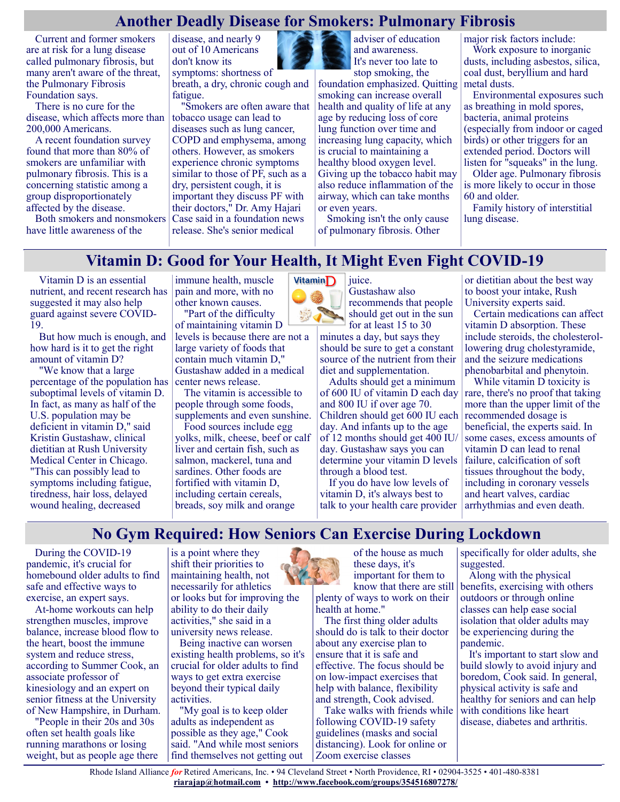#### **Another Deadly Disease for Smokers: Pulmonary Fibrosis**

Current and former smokers are at risk for a lung disease called pulmonary fibrosis, but many aren't aware of the threat, the Pulmonary Fibrosis Foundation says.

There is no cure for the disease, which affects more than 200,000 Americans.

A recent foundation survey found that more than 80% of smokers are unfamiliar with pulmonary fibrosis. This is a concerning statistic among a group disproportionately affected by the disease.

Both smokers and nonsmokers have little awareness of the

disease, and nearly 9 out of 10 Americans don't know its symptoms: shortness of

breath, a dry, chronic cough and fatigue.

"Smokers are often aware that tobacco usage can lead to diseases such as lung cancer, COPD and emphysema, among others. However, as smokers experience chronic symptoms similar to those of PF, such as a dry, persistent cough, it is important they discuss PF with their doctors," Dr. Amy Hajari Case said in a foundation news release. She's senior medical



adviser of education and awareness. It's never too late to

stop smoking, the foundation emphasized. Quitting smoking can increase overall health and quality of life at any age by reducing loss of core lung function over time and increasing lung capacity, which is crucial to maintaining a healthy blood oxygen level. Giving up the tobacco habit may also reduce inflammation of the airway, which can take months or even years.

Smoking isn't the only cause of pulmonary fibrosis. Other

juice.

major risk factors include:

Work exposure to inorganic dusts, including asbestos, silica, coal dust, beryllium and hard metal dusts.

Environmental exposures such as breathing in mold spores, bacteria, animal proteins (especially from indoor or caged birds) or other triggers for an extended period. Doctors will listen for "squeaks" in the lung.

Older age. Pulmonary fibrosis is more likely to occur in those 60 and older.

Family history of interstitial lung disease.

#### **Vitamin D: Good for Your Health, It Might Even Fight COVID-19**

Vitamin D is an essential nutrient, and recent research has suggested it may also help guard against severe COVID-19.

But how much is enough, and how hard is it to get the right amount of vitamin D?

"We know that a large percentage of the population has suboptimal levels of vitamin D. In fact, as many as half of the U.S. population may be deficient in vitamin D," said Kristin Gustashaw, clinical dietitian at Rush University Medical Center in Chicago. "This can possibly lead to symptoms including fatigue, tiredness, hair loss, delayed wound healing, decreased

immune health, muscle pain and more, with no other known causes. "Part of the difficulty

of maintaining vitamin D levels is because there are not a large variety of foods that contain much vitamin D," Gustashaw added in a medical center news release.

The vitamin is accessible to people through some foods, supplements and even sunshine.

Food sources include egg yolks, milk, cheese, beef or calf liver and certain fish, such as salmon, mackerel, tuna and sardines. Other foods are fortified with vitamin D, including certain cereals, breads, soy milk and orange



Gustashaw also recommends that people should get out in the sun for at least 15 to 30

minutes a day, but says they should be sure to get a constant source of the nutrient from their diet and supplementation.

Adults should get a minimum of 600 IU of vitamin D each day and 800 IU if over age 70. Children should get 600 IU each day. And infants up to the age of 12 months should get 400 IU/ day. Gustashaw says you can determine your vitamin D levels through a blood test.

If you do have low levels of vitamin D, it's always best to talk to your health care provider or dietitian about the best way to boost your intake, Rush University experts said.

Certain medications can affect vitamin D absorption. These include steroids, the cholesterollowering drug cholestyramide, and the seizure medications phenobarbital and phenytoin.

While vitamin D toxicity is rare, there's no proof that taking more than the upper limit of the recommended dosage is beneficial, the experts said. In some cases, excess amounts of vitamin D can lead to renal failure, calcification of soft tissues throughout the body, including in coronary vessels and heart valves, cardiac arrhythmias and even death.

## **No Gym Required: How Seniors Can Exercise During Lockdown**

During the COVID-19 pandemic, it's crucial for homebound older adults to find safe and effective ways to exercise, an expert says.

At-home workouts can help strengthen muscles, improve balance, increase blood flow to the heart, boost the immune system and reduce stress, according to Summer Cook, an associate professor of kinesiology and an expert on senior fitness at the University of New Hampshire, in Durham.

"People in their 20s and 30s often set health goals like running marathons or losing weight, but as people age there is a point where they shift their priorities to maintaining health, not necessarily for athletics or looks but for improving the ability to do their daily activities," she said in a university news release.

Being inactive can worsen existing health problems, so it's crucial for older adults to find ways to get extra exercise beyond their typical daily activities.

"My goal is to keep older adults as independent as possible as they age," Cook said. "And while most seniors find themselves not getting out



of the house as much these days, it's important for them to know that there are still

plenty of ways to work on their health at home."

The first thing older adults should do is talk to their doctor about any exercise plan to ensure that it is safe and effective. The focus should be on low-impact exercises that help with balance, flexibility and strength, Cook advised.

Take walks with friends while following COVID-19 safety guidelines (masks and social distancing). Look for online or Zoom exercise classes

specifically for older adults, she suggested.

Along with the physical benefits, exercising with others outdoors or through online classes can help ease social isolation that older adults may be experiencing during the pandemic.

It's important to start slow and build slowly to avoid injury and boredom, Cook said. In general, physical activity is safe and healthy for seniors and can help with conditions like heart disease, diabetes and arthritis.